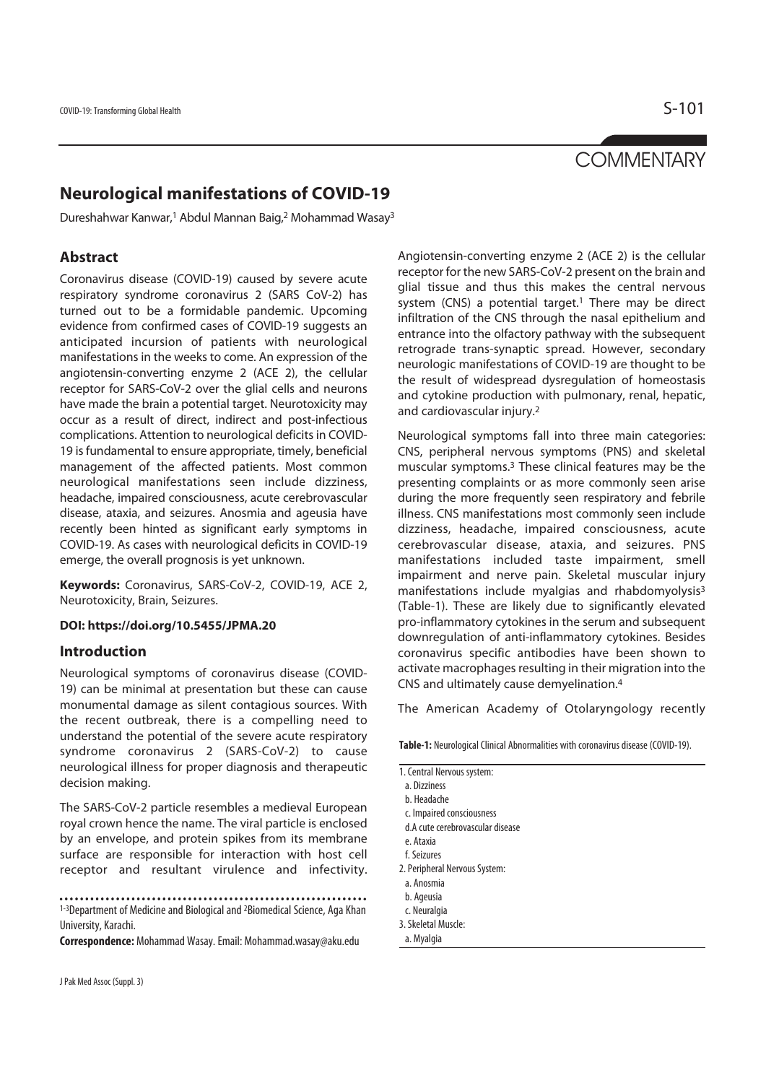# **COMMENTARY**

## **Neurological manifestations of COVID-19**

Dureshahwar Kanwar,1 Abdul Mannan Baig,2 Mohammad Wasay3

### **Abstract**

Coronavirus disease (COVID-19) caused by severe acute respiratory syndrome coronavirus 2 (SARS CoV-2) has turned out to be a formidable pandemic. Upcoming evidence from confirmed cases of COVID-19 suggests an anticipated incursion of patients with neurological manifestations in the weeks to come. An expression of the angiotensin-converting enzyme 2 (ACE 2), the cellular receptor for SARS-CoV-2 over the glial cells and neurons have made the brain a potential target. Neurotoxicity may occur as a result of direct, indirect and post-infectious complications. Attention to neurological deficits in COVID-19 is fundamental to ensure appropriate, timely, beneficial management of the affected patients. Most common neurological manifestations seen include dizziness, headache, impaired consciousness, acute cerebrovascular disease, ataxia, and seizures. Anosmia and ageusia have recently been hinted as significant early symptoms in COVID-19. As cases with neurological deficits in COVID-19 emerge, the overall prognosis is yet unknown.

**Keywords:** Coronavirus, SARS-CoV-2, COVID-19, ACE 2, Neurotoxicity, Brain, Seizures.

#### **DOI: https://doi.org/10.5455/JPMA.20**

#### **Introduction**

Neurological symptoms of coronavirus disease (COVID-19) can be minimal at presentation but these can cause monumental damage as silent contagious sources. With the recent outbreak, there is a compelling need to understand the potential of the severe acute respiratory syndrome coronavirus 2 (SARS-CoV-2) to cause neurological illness for proper diagnosis and therapeutic decision making.

The SARS-CoV-2 particle resembles a medieval European royal crown hence the name. The viral particle is enclosed by an envelope, and protein spikes from its membrane surface are responsible for interaction with host cell receptor and resultant virulence and infectivity.

1-3Department of Medicine and Biological and 2Biomedical Science, Aga Khan University, Karachi.

**Correspondence:** Mohammad Wasay. Email: Mohammad.wasay@aku.edu

Angiotensin-converting enzyme 2 (ACE 2) is the cellular receptor for the new SARS-CoV-2 present on the brain and glial tissue and thus this makes the central nervous system (CNS) a potential target.<sup>1</sup> There may be direct infiltration of the CNS through the nasal epithelium and entrance into the olfactory pathway with the subsequent retrograde trans-synaptic spread. However, secondary neurologic manifestations of COVID-19 are thought to be the result of widespread dysregulation of homeostasis and cytokine production with pulmonary, renal, hepatic, and cardiovascular injury.2

Neurological symptoms fall into three main categories: CNS, peripheral nervous symptoms (PNS) and skeletal muscular symptoms.3 These clinical features may be the presenting complaints or as more commonly seen arise during the more frequently seen respiratory and febrile illness. CNS manifestations most commonly seen include dizziness, headache, impaired consciousness, acute cerebrovascular disease, ataxia, and seizures. PNS manifestations included taste impairment, smell impairment and nerve pain. Skeletal muscular injury manifestations include myalgias and rhabdomyolysis3 (Table-1). These are likely due to significantly elevated pro-inflammatory cytokines in the serum and subsequent downregulation of anti-inflammatory cytokines. Besides coronavirus specific antibodies have been shown to activate macrophages resulting in their migration into the CNS and ultimately cause demyelination.4

The American Academy of Otolaryngology recently

| Table-1: Neurological Clinical Abnormalities with coronavirus disease (COVID-19). |
|-----------------------------------------------------------------------------------|
|-----------------------------------------------------------------------------------|

| 1. Central Nervous system:       |
|----------------------------------|
| a. Dizziness                     |
| b. Headache                      |
| c. Impaired consciousness        |
| d.A cute cerebrovascular disease |
| e. Ataxia                        |
| f. Seizures                      |
| 2. Peripheral Nervous System:    |
| a Anosmia                        |

- a. Ano
- b. Ageusia

- c. Neuralgia
- 3. Skeletal Muscle:
- a. Myalgia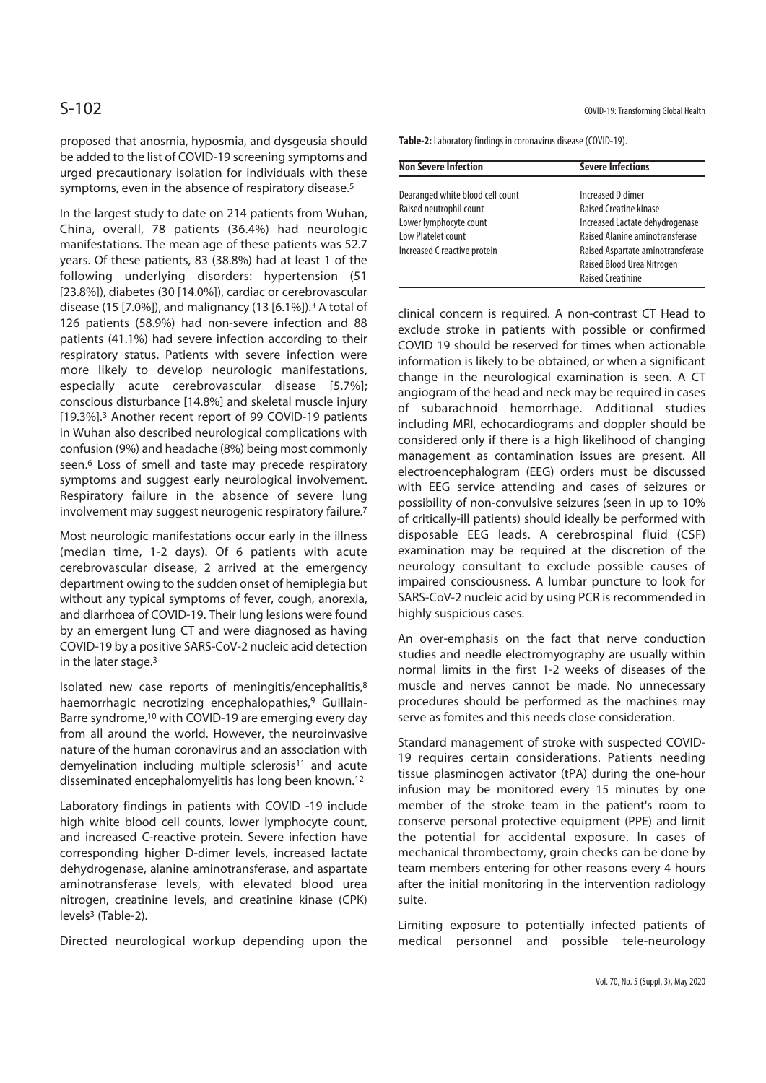proposed that anosmia, hyposmia, and dysgeusia should be added to the list of COVID-19 screening symptoms and urged precautionary isolation for individuals with these symptoms, even in the absence of respiratory disease.5

In the largest study to date on 214 patients from Wuhan, China, overall, 78 patients (36.4%) had neurologic manifestations. The mean age of these patients was 52.7 years. Of these patients, 83 (38.8%) had at least 1 of the following underlying disorders: hypertension (51 [23.8%]), diabetes (30 [14.0%]), cardiac or cerebrovascular disease (15 [7.0%]), and malignancy (13 [6.1%]).3 A total of 126 patients (58.9%) had non-severe infection and 88 patients (41.1%) had severe infection according to their respiratory status. Patients with severe infection were more likely to develop neurologic manifestations, especially acute cerebrovascular disease [5.7%]; conscious disturbance [14.8%] and skeletal muscle injury [19.3%].3 Another recent report of 99 COVID-19 patients in Wuhan also described neurological complications with confusion (9%) and headache (8%) being most commonly seen.<sup>6</sup> Loss of smell and taste may precede respiratory symptoms and suggest early neurological involvement. Respiratory failure in the absence of severe lung involvement may suggest neurogenic respiratory failure.7

Most neurologic manifestations occur early in the illness (median time, 1-2 days). Of 6 patients with acute cerebrovascular disease, 2 arrived at the emergency department owing to the sudden onset of hemiplegia but without any typical symptoms of fever, cough, anorexia, and diarrhoea of COVID-19. Their lung lesions were found by an emergent lung CT and were diagnosed as having COVID-19 by a positive SARS-CoV-2 nucleic acid detection in the later stage.3

Isolated new case reports of meningitis/encephalitis,8 haemorrhagic necrotizing encephalopathies,<sup>9</sup> Guillain-Barre syndrome,10 with COVID-19 are emerging every day from all around the world. However, the neuroinvasive nature of the human coronavirus and an association with demyelination including multiple sclerosis<sup>11</sup> and acute disseminated encephalomyelitis has long been known.12

Laboratory findings in patients with COVID -19 include high white blood cell counts, lower lymphocyte count, and increased C-reactive protein. Severe infection have corresponding higher D-dimer levels, increased lactate dehydrogenase, alanine aminotransferase, and aspartate aminotransferase levels, with elevated blood urea nitrogen, creatinine levels, and creatinine kinase (CPK) levels3 (Table-2).

Directed neurological workup depending upon the

S-102 COVID-19: Transforming Global Health

**Table-2:** Laboratory findings in coronavirus disease (COVID-19).

| <b>Non Severe Infection</b>      | <b>Severe Infections</b>          |
|----------------------------------|-----------------------------------|
| Dearanged white blood cell count | Increased D dimer                 |
| Raised neutrophil count          | Raised Creatine kinase            |
| Lower lymphocyte count           | Increased Lactate dehydrogenase   |
| Low Platelet count               | Raised Alanine aminotransferase   |
| Increased C reactive protein     | Raised Aspartate aminotransferase |
|                                  | Raised Blood Urea Nitrogen        |
|                                  | <b>Raised Creatinine</b>          |

clinical concern is required. A non-contrast CT Head to exclude stroke in patients with possible or confirmed COVID 19 should be reserved for times when actionable information is likely to be obtained, or when a significant change in the neurological examination is seen. A CT angiogram of the head and neck may be required in cases of subarachnoid hemorrhage. Additional studies including MRI, echocardiograms and doppler should be considered only if there is a high likelihood of changing management as contamination issues are present. All electroencephalogram (EEG) orders must be discussed with EEG service attending and cases of seizures or possibility of non-convulsive seizures (seen in up to 10% of critically-ill patients) should ideally be performed with disposable EEG leads. A cerebrospinal fluid (CSF) examination may be required at the discretion of the neurology consultant to exclude possible causes of impaired consciousness. A lumbar puncture to look for SARS-CoV-2 nucleic acid by using PCR is recommended in highly suspicious cases.

An over-emphasis on the fact that nerve conduction studies and needle electromyography are usually within normal limits in the first 1-2 weeks of diseases of the muscle and nerves cannot be made. No unnecessary procedures should be performed as the machines may serve as fomites and this needs close consideration.

Standard management of stroke with suspected COVID-19 requires certain considerations. Patients needing tissue plasminogen activator (tPA) during the one-hour infusion may be monitored every 15 minutes by one member of the stroke team in the patient's room to conserve personal protective equipment (PPE) and limit the potential for accidental exposure. In cases of mechanical thrombectomy, groin checks can be done by team members entering for other reasons every 4 hours after the initial monitoring in the intervention radiology suite.

Limiting exposure to potentially infected patients of medical personnel and possible tele-neurology